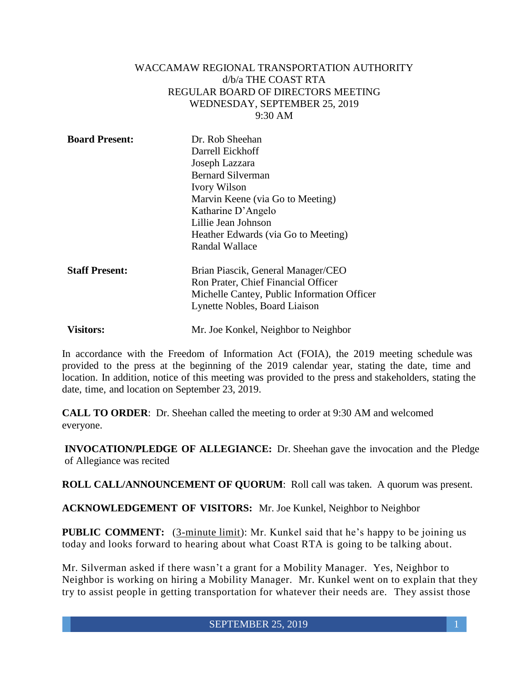#### WACCAMAW REGIONAL TRANSPORTATION AUTHORITY d/b/a THE COAST RTA REGULAR BOARD OF DIRECTORS MEETING WEDNESDAY, SEPTEMBER 25, 2019 9:30 AM

| <b>Board Present:</b> | Dr. Rob Sheehan                             |
|-----------------------|---------------------------------------------|
|                       | Darrell Eickhoff                            |
|                       | Joseph Lazzara                              |
|                       | <b>Bernard Silverman</b>                    |
|                       | <b>Ivory Wilson</b>                         |
|                       | Marvin Keene (via Go to Meeting)            |
|                       | Katharine D'Angelo                          |
|                       | Lillie Jean Johnson                         |
|                       | Heather Edwards (via Go to Meeting)         |
|                       | Randal Wallace                              |
| <b>Staff Present:</b> | Brian Piascik, General Manager/CEO          |
|                       | Ron Prater, Chief Financial Officer         |
|                       | Michelle Cantey, Public Information Officer |
|                       | Lynette Nobles, Board Liaison               |
| <b>Visitors:</b>      | Mr. Joe Konkel, Neighbor to Neighbor        |

In accordance with the Freedom of Information Act (FOIA), the 2019 meeting schedule was provided to the press at the beginning of the 2019 calendar year, stating the date, time and location. In addition, notice of this meeting was provided to the press and stakeholders, stating the date, time, and location on September 23, 2019.

**CALL TO ORDER**: Dr. Sheehan called the meeting to order at 9:30 AM and welcomed everyone.

**INVOCATION/PLEDGE OF ALLEGIANCE:** Dr. Sheehan gave the invocation and the Pledge of Allegiance was recited

**ROLL CALL/ANNOUNCEMENT OF QUORUM**: Roll call was taken. A quorum was present.

**ACKNOWLEDGEMENT OF VISITORS:** Mr. Joe Kunkel, Neighbor to Neighbor

**PUBLIC COMMENT:** (3-minute limit): Mr. Kunkel said that he's happy to be joining us today and looks forward to hearing about what Coast RTA is going to be talking about.

Mr. Silverman asked if there wasn't a grant for a Mobility Manager. Yes, Neighbor to Neighbor is working on hiring a Mobility Manager. Mr. Kunkel went on to explain that they try to assist people in getting transportation for whatever their needs are. They assist those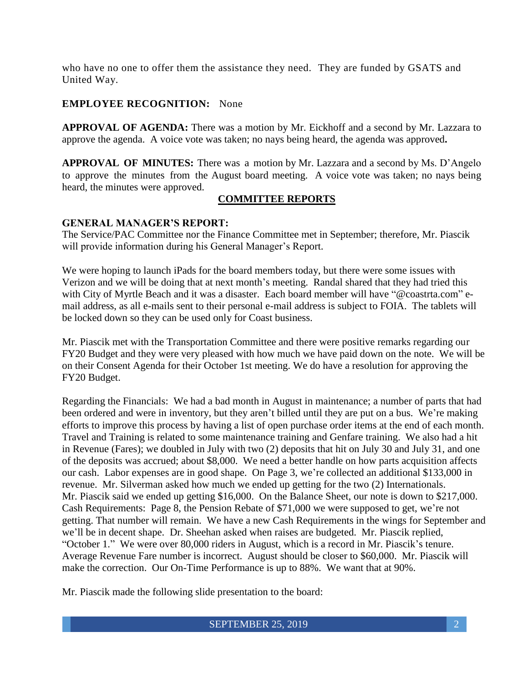who have no one to offer them the assistance they need. They are funded by GSATS and United Way.

### **EMPLOYEE RECOGNITION:** None

**APPROVAL OF AGENDA:** There was a motion by Mr. Eickhoff and a second by Mr. Lazzara to approve the agenda. A voice vote was taken; no nays being heard, the agenda was approved**.**

**APPROVAL OF MINUTES:** There was a motion by Mr. Lazzara and a second by Ms. D'Angelo to approve the minutes from the August board meeting. A voice vote was taken; no nays being heard, the minutes were approved.

#### **COMMITTEE REPORTS**

#### **GENERAL MANAGER'S REPORT:**

The Service/PAC Committee nor the Finance Committee met in September; therefore, Mr. Piascik will provide information during his General Manager's Report.

We were hoping to launch iPads for the board members today, but there were some issues with Verizon and we will be doing that at next month's meeting. Randal shared that they had tried this with City of Myrtle Beach and it was a disaster. Each board member will have "@coastrta.com" email address, as all e-mails sent to their personal e-mail address is subject to FOIA. The tablets will be locked down so they can be used only for Coast business.

Mr. Piascik met with the Transportation Committee and there were positive remarks regarding our FY20 Budget and they were very pleased with how much we have paid down on the note. We will be on their Consent Agenda for their October 1st meeting. We do have a resolution for approving the FY20 Budget.

Regarding the Financials: We had a bad month in August in maintenance; a number of parts that had been ordered and were in inventory, but they aren't billed until they are put on a bus. We're making efforts to improve this process by having a list of open purchase order items at the end of each month. Travel and Training is related to some maintenance training and Genfare training. We also had a hit in Revenue (Fares); we doubled in July with two (2) deposits that hit on July 30 and July 31, and one of the deposits was accrued; about \$8,000. We need a better handle on how parts acquisition affects our cash. Labor expenses are in good shape. On Page 3, we're collected an additional \$133,000 in revenue. Mr. Silverman asked how much we ended up getting for the two (2) Internationals. Mr. Piascik said we ended up getting \$16,000. On the Balance Sheet, our note is down to \$217,000. Cash Requirements: Page 8, the Pension Rebate of \$71,000 we were supposed to get, we're not getting. That number will remain. We have a new Cash Requirements in the wings for September and we'll be in decent shape. Dr. Sheehan asked when raises are budgeted. Mr. Piascik replied, "October 1." We were over 80,000 riders in August, which is a record in Mr. Piascik's tenure. Average Revenue Fare number is incorrect. August should be closer to \$60,000. Mr. Piascik will make the correction. Our On-Time Performance is up to 88%. We want that at 90%.

Mr. Piascik made the following slide presentation to the board: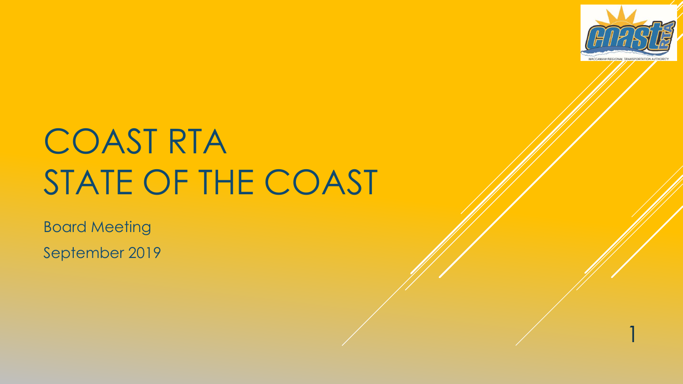

# COAST RTA STATE OF THE COAST

Board Meeting September 2019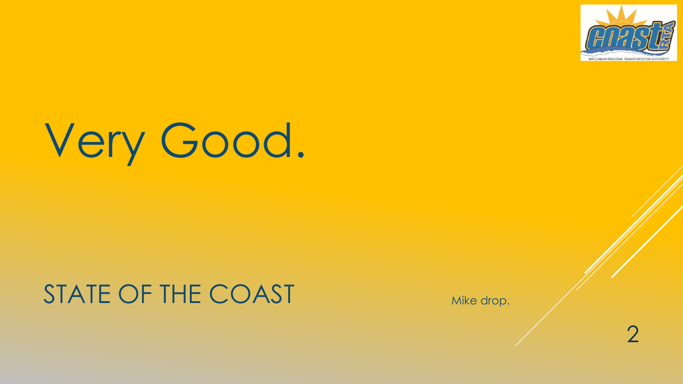

# Very Good.

### STATE OF THE COAST

Mike drop.

2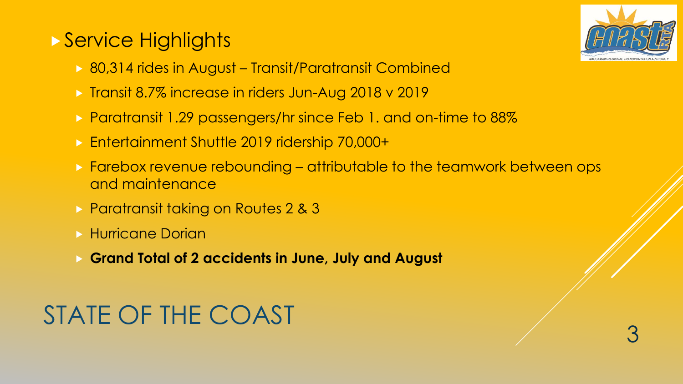### ▶ Service Highlights



3

- 80,314 rides in August Transit/Paratransit Combined
- **Transit 8.7% increase in riders Jun-Aug 2018 v 2019**
- **Paratransit 1.29 passengers/hr since Feb 1. and on-time to 88%**
- ► Entertainment Shuttle 2019 ridership 70,000+
- ▶ Farebox revenue rebounding attributable to the teamwork between ops and maintenance
- **Paratransit taking on Routes 2 & 3**
- **Hurricane Dorian**
- **Grand Total of 2 accidents in June, July and August**

## STATE OF THE COAST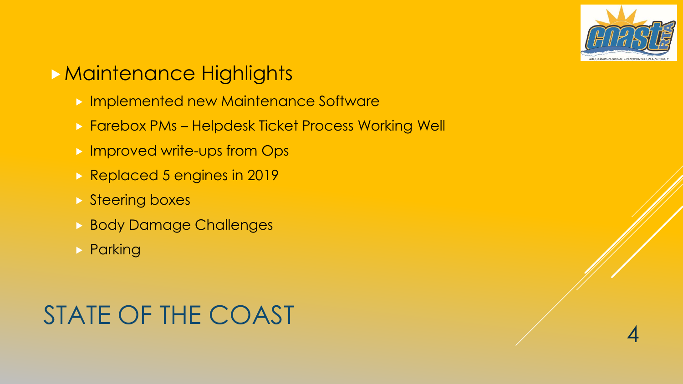

### **Maintenance Highlights**

- **Implemented new Maintenance Software**
- **Farebox PMs Helpdesk Ticket Process Working Well**
- **Improved write-ups from Ops**
- Replaced 5 engines in 2019
- **Steering boxes**
- **Body Damage Challenges**
- **> Parking**

## STATE OF THE COAST

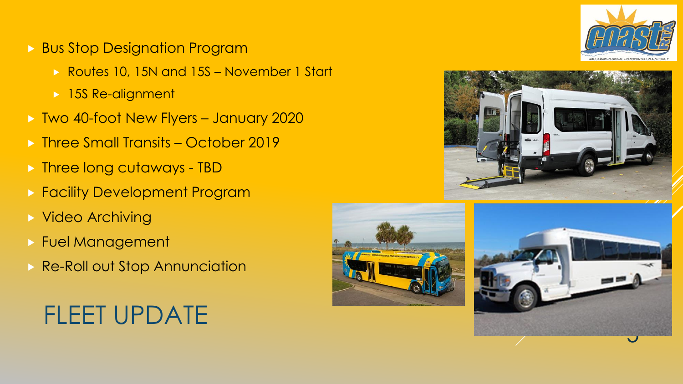

- **Bus Stop Designation Program** 
	- ▶ Routes 10, 15N and 15S November 1 Start
	- ▶ 15S Re-alignment
- Two 40-foot New Flyers January 2020
- **Three Small Transits October 2019**
- **Figure 1** > Three long cutaways TBD
- **Facility Development Program**
- **> Video Archiving**
- Fuel Management
- **Re-Roll out Stop Annunciation**







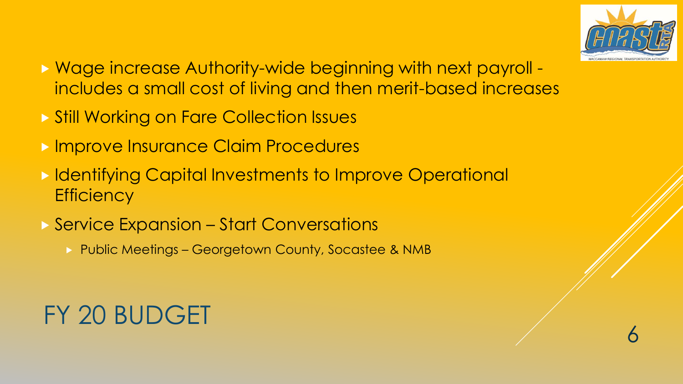

- Wage increase Authority-wide beginning with next payroll includes a small cost of living and then merit-based increases
- ▶ Still Working on Fare Collection Issues
- **Improve Insurance Claim Procedures**
- **In Identifying Capital Investments to Improve Operational Efficiency**
- ▶ Service Expansion Start Conversations
	- ▶ Public Meetings Georgetown County, Socastee & NMB

## FY 20 BUDGET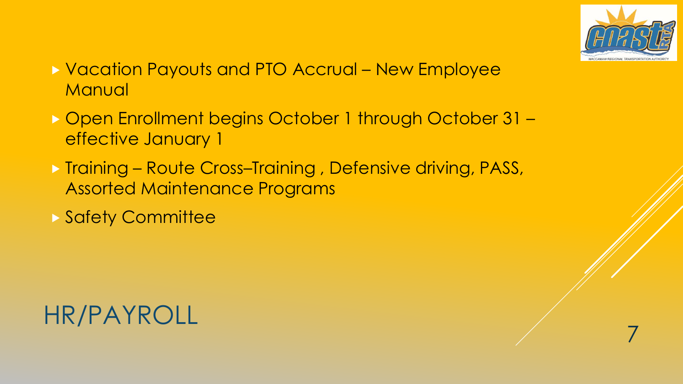

- Vacation Payouts and PTO Accrual New Employee **Manual**
- ▶ Open Enrollment begins October 1 through October 31 effective January 1
- ▶ Training Route Cross–Training, Defensive driving, PASS, Assorted Maintenance Programs
- Safety Committee

### HR/PAYROLL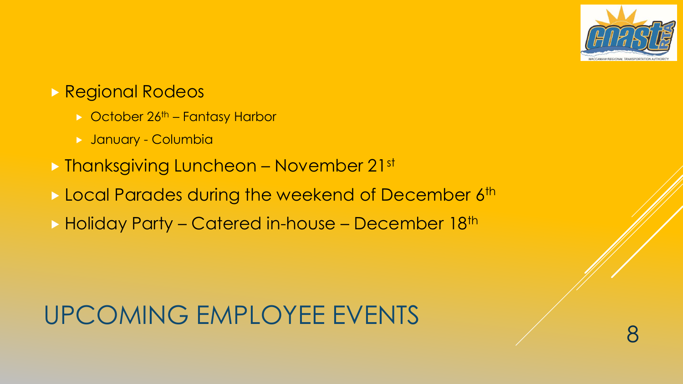

### Regional Rodeos

- $\triangleright$  October 26<sup>th</sup> Fantasy Harbor
- January Columbia
- ▶ Thanksgiving Luncheon November 21st
- Local Parades during the weekend of December 6th
- ▶ Holiday Party Catered in-house December 18th

# UPCOMING EMPLOYEE EVENTS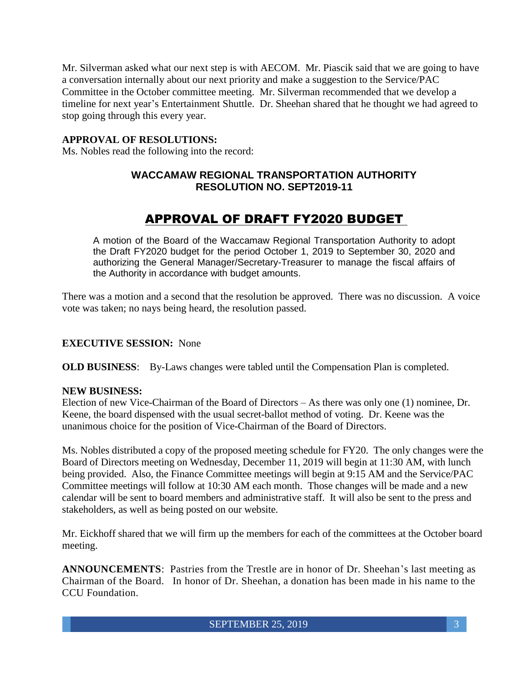Mr. Silverman asked what our next step is with AECOM. Mr. Piascik said that we are going to have a conversation internally about our next priority and make a suggestion to the Service/PAC Committee in the October committee meeting. Mr. Silverman recommended that we develop a timeline for next year's Entertainment Shuttle. Dr. Sheehan shared that he thought we had agreed to stop going through this every year.

#### **APPROVAL OF RESOLUTIONS:**

Ms. Nobles read the following into the record:

### **WACCAMAW REGIONAL TRANSPORTATION AUTHORITY RESOLUTION NO. SEPT2019-11**

### APPROVAL OF DRAFT FY2020 BUDGET

A motion of the Board of the Waccamaw Regional Transportation Authority to adopt the Draft FY2020 budget for the period October 1, 2019 to September 30, 2020 and authorizing the General Manager/Secretary-Treasurer to manage the fiscal affairs of the Authority in accordance with budget amounts.

There was a motion and a second that the resolution be approved. There was no discussion. A voice vote was taken; no nays being heard, the resolution passed.

#### **EXECUTIVE SESSION:** None

**OLD BUSINESS**: By-Laws changes were tabled until the Compensation Plan is completed.

#### **NEW BUSINESS:**

Election of new Vice-Chairman of the Board of Directors – As there was only one (1) nominee, Dr. Keene, the board dispensed with the usual secret-ballot method of voting. Dr. Keene was the unanimous choice for the position of Vice-Chairman of the Board of Directors.

Ms. Nobles distributed a copy of the proposed meeting schedule for FY20. The only changes were the Board of Directors meeting on Wednesday, December 11, 2019 will begin at 11:30 AM, with lunch being provided. Also, the Finance Committee meetings will begin at 9:15 AM and the Service/PAC Committee meetings will follow at 10:30 AM each month. Those changes will be made and a new calendar will be sent to board members and administrative staff. It will also be sent to the press and stakeholders, as well as being posted on our website.

Mr. Eickhoff shared that we will firm up the members for each of the committees at the October board meeting.

**ANNOUNCEMENTS**: Pastries from the Trestle are in honor of Dr. Sheehan's last meeting as Chairman of the Board. In honor of Dr. Sheehan, a donation has been made in his name to the CCU Foundation.